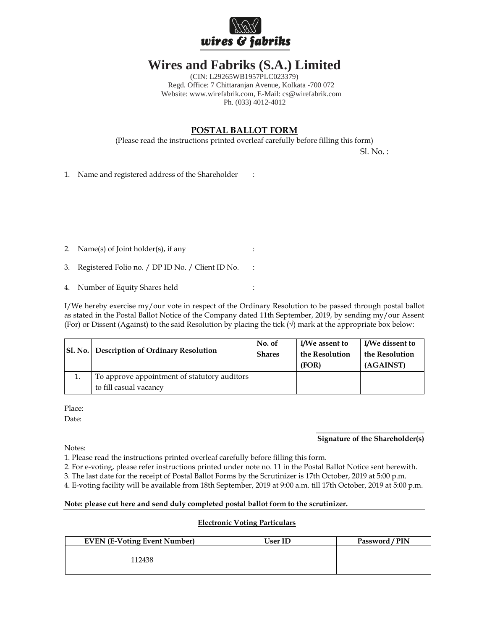

# **Wires and Fabriks (S.A.) Limited**

(CIN: L29265WB1957PLC023379) Regd. Office: 7 Chittaranjan Avenue, Kolkata -700 072 Website: www.wirefabrik.com, E-Mail: cs@wirefabrik.com Ph. (033) 4012-4012

## POSTAL BALLOT FORM

(Please read the instructions printed overleaf carefully before filling this form)

Sl. No. :

1. Name and registered address of the Shareholder :

- 2. Name(s) of Joint holder(s), if any :
- 3. Registered Folio no. / DP ID No. / Client ID No. :

4. Number of Equity Shares held :

I/We hereby exercise my/our vote in respect of the Ordinary Resolution to be passed through postal ballot as stated in the Postal Ballot Notice of the Company dated 11th September, 2019, by sending my/our Assent (For) or Dissent (Against) to the said Resolution by placing the tick  $(\sqrt{)}$  mark at the appropriate box below:

| [Sl. No.] Description of Ordinary Resolution                           | No. of<br><b>Shares</b> | I/We assent to<br>the Resolution<br>(FOR) | I/We dissent to<br>the Resolution<br>(AGAINST) |
|------------------------------------------------------------------------|-------------------------|-------------------------------------------|------------------------------------------------|
| To approve appointment of statutory auditors<br>to fill casual vacancy |                         |                                           |                                                |

Place:

Date:

#### \_\_\_\_\_\_\_\_\_\_\_\_\_\_\_\_\_\_\_\_\_\_\_\_\_\_\_\_\_ Signature of the Shareholder(s)

Notes:

1. Please read the instructions printed overleaf carefully before filling this form.

2. For e-voting, please refer instructions printed under note no. 11 in the Postal Ballot Notice sent herewith.

3. The last date for the receipt of Postal Ballot Forms by the Scrutinizer is 17th October, 2019 at 5:00 p.m.

4. E-voting facility will be available from 18th September, 2019 at 9:00 a.m. till 17th October, 2019 at 5:00 p.m.

#### Note: please cut here and send duly completed postal ballot form to the scrutinizer.

### Electronic Voting Particulars

| <b>EVEN (E-Voting Event Number)</b> | <b>User ID</b> | Password / PIN |
|-------------------------------------|----------------|----------------|
| 112438                              |                |                |